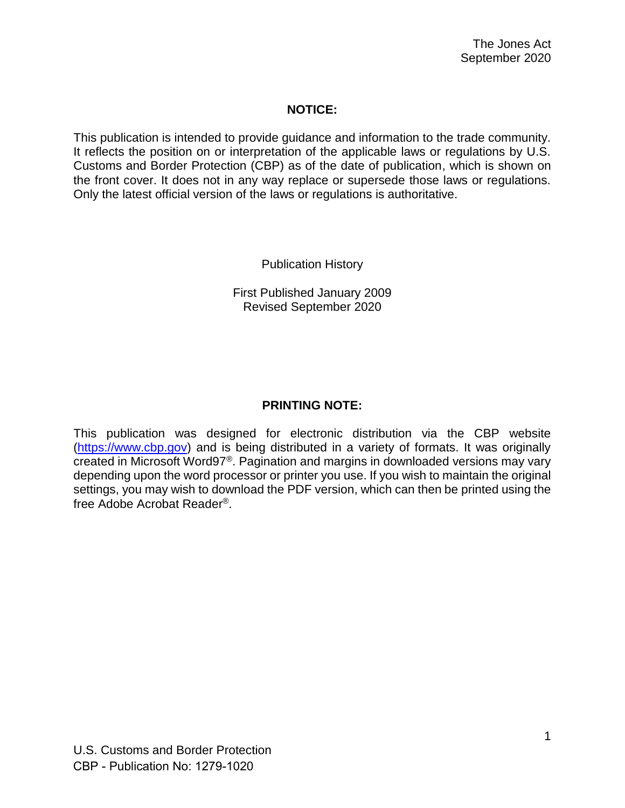### **NOTICE:**

This publication is intended to provide guidance and information to the trade community. It reflects the position on or interpretation of the applicable laws or regulations by U.S. Customs and Border Protection (CBP) as of the date of publication, which is shown on the front cover. It does not in any way replace or supersede those laws or regulations. Only the latest official version of the laws or regulations is authoritative.

Publication History

First Published January 2009 Revised September 2020

## **PRINTING NOTE:**

This publication was designed for electronic distribution via the CBP website [\(https://www.cbp.gov\)](https://www.cbp.gov/) and is being distributed in a variety of formats. It was originally created in Microsoft Word97®. Pagination and margins in downloaded versions may vary depending upon the word processor or printer you use. If you wish to maintain the original settings, you may wish to download the PDF version, which can then be printed using the free Adobe Acrobat Reader®.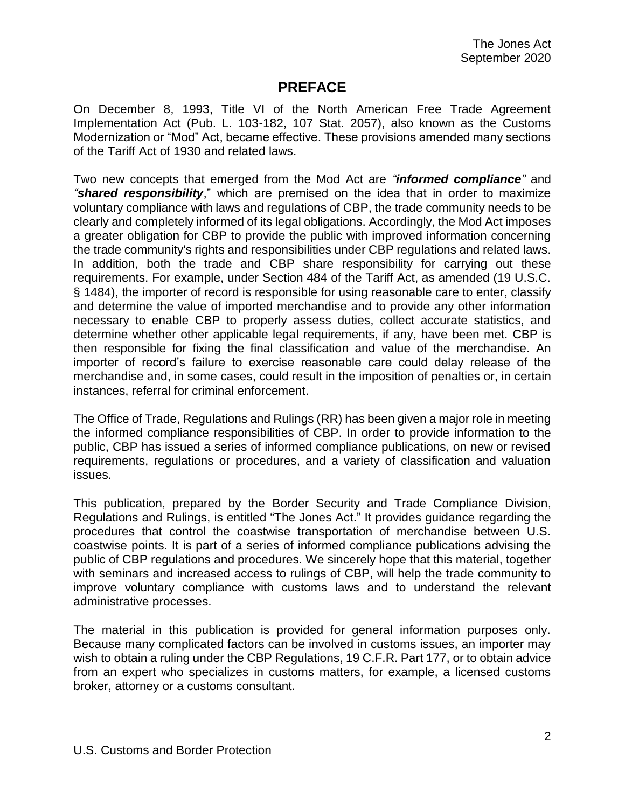# **PREFACE**

<span id="page-1-0"></span>On December 8, 1993, Title VI of the North American Free Trade Agreement Implementation Act (Pub. L. 103-182, 107 Stat. 2057), also known as the Customs Modernization or "Mod" Act, became effective. These provisions amended many sections of the Tariff Act of 1930 and related laws.

Two new concepts that emerged from the Mod Act are *"informed compliance"* and *"shared responsibility*," which are premised on the idea that in order to maximize voluntary compliance with laws and regulations of CBP, the trade community needs to be clearly and completely informed of its legal obligations. Accordingly, the Mod Act imposes a greater obligation for CBP to provide the public with improved information concerning the trade community's rights and responsibilities under CBP regulations and related laws. In addition, both the trade and CBP share responsibility for carrying out these requirements. For example, under Section 484 of the Tariff Act, as amended (19 U.S.C. § 1484), the importer of record is responsible for using reasonable care to enter, classify and determine the value of imported merchandise and to provide any other information necessary to enable CBP to properly assess duties, collect accurate statistics, and determine whether other applicable legal requirements, if any, have been met. CBP is then responsible for fixing the final classification and value of the merchandise. An importer of record's failure to exercise reasonable care could delay release of the merchandise and, in some cases, could result in the imposition of penalties or, in certain instances, referral for criminal enforcement.

The Office of Trade, Regulations and Rulings (RR) has been given a major role in meeting the informed compliance responsibilities of CBP. In order to provide information to the public, CBP has issued a series of informed compliance publications, on new or revised requirements, regulations or procedures, and a variety of classification and valuation issues.

This publication, prepared by the Border Security and Trade Compliance Division, Regulations and Rulings, is entitled "The Jones Act." It provides guidance regarding the procedures that control the coastwise transportation of merchandise between U.S. coastwise points. It is part of a series of informed compliance publications advising the public of CBP regulations and procedures. We sincerely hope that this material, together with seminars and increased access to rulings of CBP, will help the trade community to improve voluntary compliance with customs laws and to understand the relevant administrative processes.

The material in this publication is provided for general information purposes only. Because many complicated factors can be involved in customs issues, an importer may wish to obtain a ruling under the CBP Regulations, 19 C.F.R. Part 177, or to obtain advice from an expert who specializes in customs matters, for example, a licensed customs broker, attorney or a customs consultant.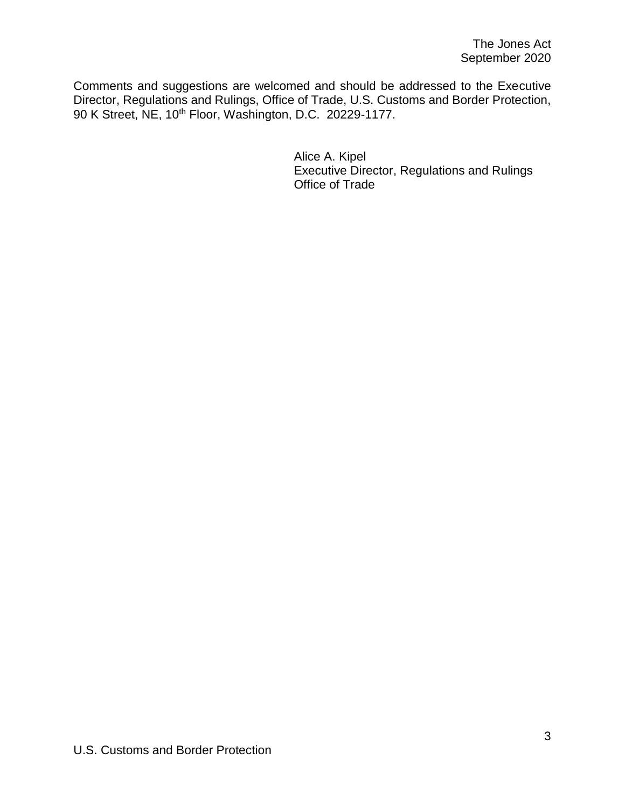Comments and suggestions are welcomed and should be addressed to the Executive Director, Regulations and Rulings, Office of Trade, U.S. Customs and Border Protection, 90 K Street, NE, 10<sup>th</sup> Floor, Washington, D.C. 20229-1177.

> Alice A. Kipel Executive Director, Regulations and Rulings Office of Trade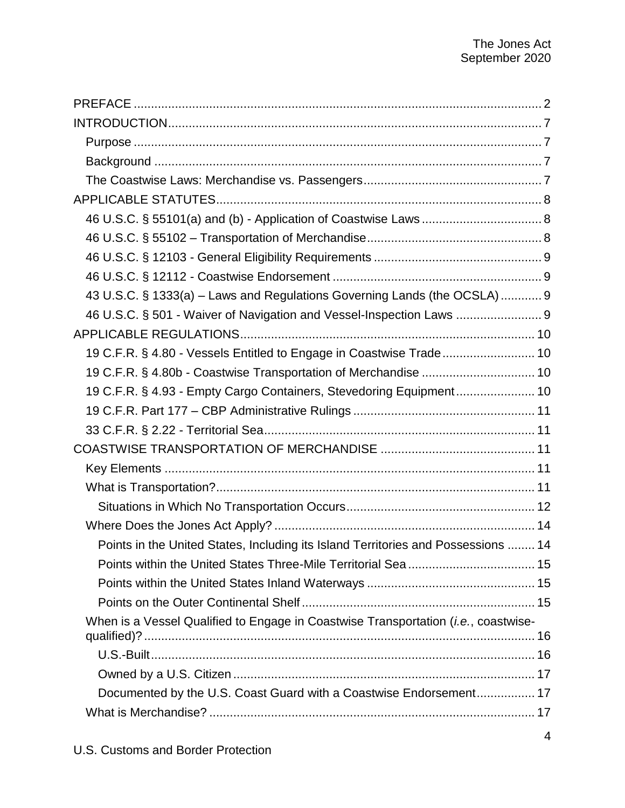| 43 U.S.C. § 1333(a) - Laws and Regulations Governing Lands (the OCSLA)  9                   |  |
|---------------------------------------------------------------------------------------------|--|
| 46 U.S.C. § 501 - Waiver of Navigation and Vessel-Inspection Laws  9                        |  |
|                                                                                             |  |
| 19 C.F.R. § 4.80 - Vessels Entitled to Engage in Coastwise Trade 10                         |  |
|                                                                                             |  |
| 19 C.F.R. § 4.93 - Empty Cargo Containers, Stevedoring Equipment 10                         |  |
|                                                                                             |  |
|                                                                                             |  |
|                                                                                             |  |
|                                                                                             |  |
|                                                                                             |  |
|                                                                                             |  |
|                                                                                             |  |
| Points in the United States, Including its Island Territories and Possessions  14           |  |
|                                                                                             |  |
|                                                                                             |  |
|                                                                                             |  |
| When is a Vessel Qualified to Engage in Coastwise Transportation ( <i>i.e.</i> , coastwise- |  |
|                                                                                             |  |
|                                                                                             |  |
| Documented by the U.S. Coast Guard with a Coastwise Endorsement 17                          |  |
|                                                                                             |  |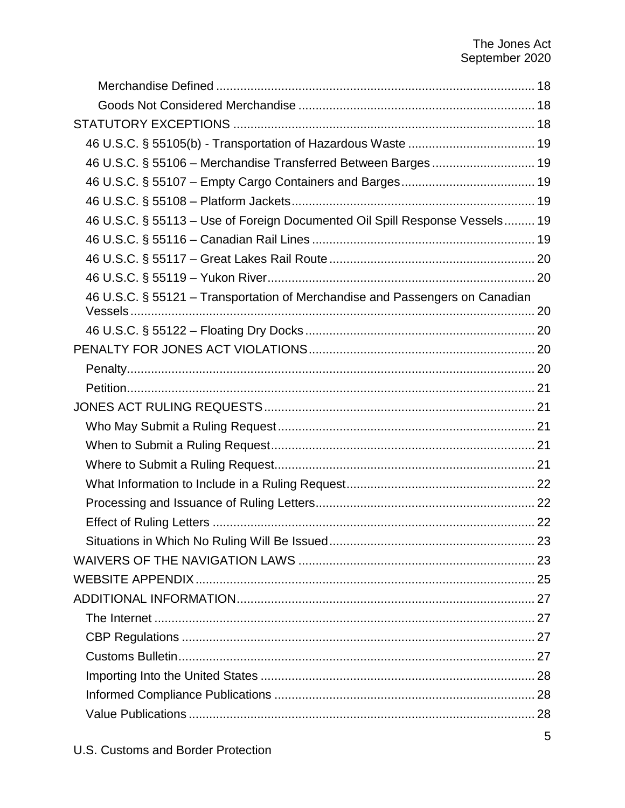| 46 U.S.C. § 55106 - Merchandise Transferred Between Barges  19               |  |  |
|------------------------------------------------------------------------------|--|--|
|                                                                              |  |  |
|                                                                              |  |  |
| 46 U.S.C. § 55113 - Use of Foreign Documented Oil Spill Response Vessels 19  |  |  |
|                                                                              |  |  |
|                                                                              |  |  |
|                                                                              |  |  |
| 46 U.S.C. § 55121 - Transportation of Merchandise and Passengers on Canadian |  |  |
|                                                                              |  |  |
|                                                                              |  |  |
|                                                                              |  |  |
|                                                                              |  |  |
|                                                                              |  |  |
|                                                                              |  |  |
|                                                                              |  |  |
|                                                                              |  |  |
|                                                                              |  |  |
|                                                                              |  |  |
|                                                                              |  |  |
|                                                                              |  |  |
|                                                                              |  |  |
|                                                                              |  |  |
|                                                                              |  |  |
|                                                                              |  |  |
|                                                                              |  |  |
|                                                                              |  |  |
|                                                                              |  |  |
|                                                                              |  |  |
|                                                                              |  |  |
|                                                                              |  |  |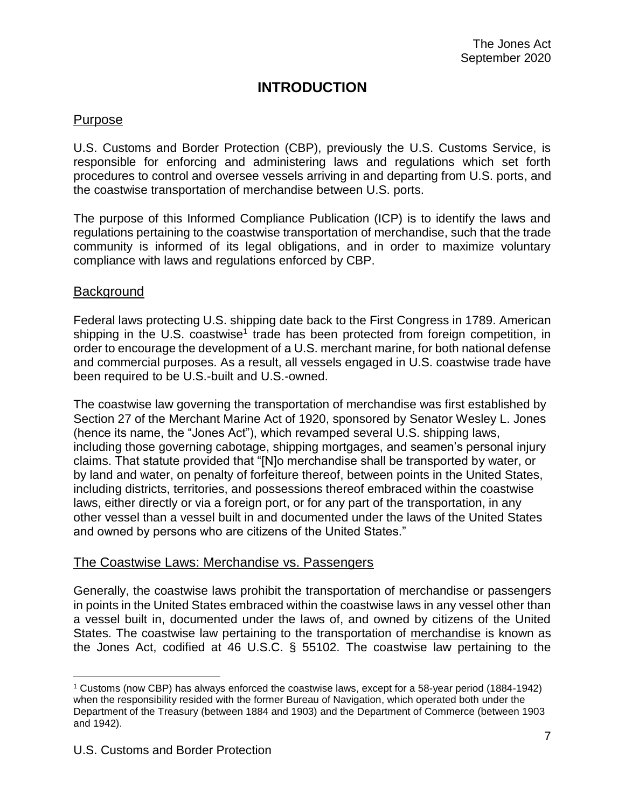# **INTRODUCTION**

### <span id="page-6-1"></span><span id="page-6-0"></span>Purpose

U.S. Customs and Border Protection (CBP), previously the U.S. Customs Service, is responsible for enforcing and administering laws and regulations which set forth procedures to control and oversee vessels arriving in and departing from U.S. ports, and the coastwise transportation of merchandise between U.S. ports.

The purpose of this Informed Compliance Publication (ICP) is to identify the laws and regulations pertaining to the coastwise transportation of merchandise, such that the trade community is informed of its legal obligations, and in order to maximize voluntary compliance with laws and regulations enforced by CBP.

#### <span id="page-6-2"></span>**Background**

 $\overline{a}$ 

Federal laws protecting U.S. shipping date back to the First Congress in 1789. American shipping in the U.S. coastwise<sup>1</sup> trade has been protected from foreign competition, in order to encourage the development of a U.S. merchant marine, for both national defense and commercial purposes. As a result, all vessels engaged in U.S. coastwise trade have been required to be U.S.-built and U.S.-owned.

The coastwise law governing the transportation of merchandise was first established by Section 27 of the Merchant Marine Act of 1920, sponsored by Senator Wesley L. Jones (hence its name, the "Jones Act"), which revamped several U.S. shipping laws, including those governing cabotage, shipping mortgages, and seamen's personal injury claims. That statute provided that "[N]o merchandise shall be transported by water, or by land and water, on penalty of forfeiture thereof, between points in the United States, including districts, territories, and possessions thereof embraced within the coastwise laws, either directly or via a foreign port, or for any part of the transportation, in any other vessel than a vessel built in and documented under the laws of the United States and owned by persons who are citizens of the United States."

#### <span id="page-6-3"></span>The Coastwise Laws: Merchandise vs. Passengers

Generally, the coastwise laws prohibit the transportation of merchandise or passengers in points in the United States embraced within the coastwise laws in any vessel other than a vessel built in, documented under the laws of, and owned by citizens of the United States. The coastwise law pertaining to the transportation of merchandise is known as the Jones Act, codified at 46 U.S.C. § 55102. The coastwise law pertaining to the

<sup>1</sup> Customs (now CBP) has always enforced the coastwise laws, except for a 58-year period (1884-1942) when the responsibility resided with the former Bureau of Navigation, which operated both under the Department of the Treasury (between 1884 and 1903) and the Department of Commerce (between 1903 and 1942).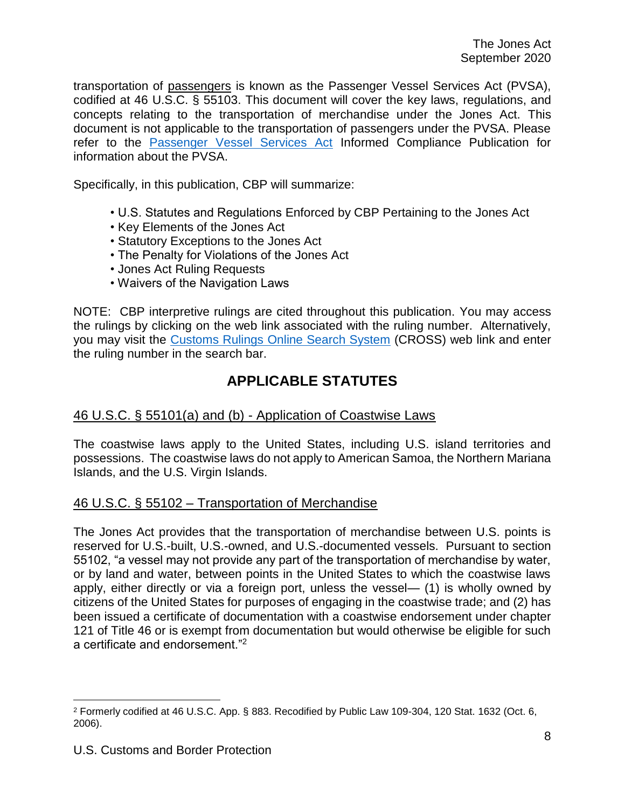transportation of passengers is known as the Passenger Vessel Services Act (PVSA), codified at 46 U.S.C. § 55103. This document will cover the key laws, regulations, and concepts relating to the transportation of merchandise under the Jones Act. This document is not applicable to the transportation of passengers under the PVSA. Please refer to the [Passenger Vessel Services Act](https://www.cbp.gov/sites/default/files/assets/documents/2019-Sep/PVSA-ICP.pdf) Informed Compliance Publication for information about the PVSA.

Specifically, in this publication, CBP will summarize:

- U.S. Statutes and Regulations Enforced by CBP Pertaining to the Jones Act
- Key Elements of the Jones Act
- Statutory Exceptions to the Jones Act
- The Penalty for Violations of the Jones Act
- Jones Act Ruling Requests
- Waivers of the Navigation Laws

NOTE: CBP interpretive rulings are cited throughout this publication. You may access the rulings by clicking on the web link associated with the ruling number. Alternatively, you may visit the [Customs Rulings Online Search System](https://rulings.cbp.gov/home) (CROSS) web link and enter the ruling number in the search bar.

# **APPLICABLE STATUTES**

## <span id="page-7-1"></span><span id="page-7-0"></span>46 U.S.C. § 55101(a) and (b) - Application of Coastwise Laws

The coastwise laws apply to the United States, including U.S. island territories and possessions. The coastwise laws do not apply to American Samoa, the Northern Mariana Islands, and the U.S. Virgin Islands.

## <span id="page-7-2"></span>46 U.S.C. § 55102 – Transportation of Merchandise

The Jones Act provides that the transportation of merchandise between U.S. points is reserved for U.S.-built, U.S.-owned, and U.S.-documented vessels. Pursuant to section 55102, "a vessel may not provide any part of the transportation of merchandise by water, or by land and water, between points in the United States to which the coastwise laws apply, either directly or via a foreign port, unless the vessel— (1) is wholly owned by citizens of the United States for purposes of engaging in the coastwise trade; and (2) has been issued a certificate of documentation with a coastwise endorsement under chapter 121 of Title 46 or is exempt from documentation but would otherwise be eligible for such a certificate and endorsement."<sup>2</sup>

<sup>2</sup> Formerly codified at 46 U.S.C. App. § 883. Recodified by Public Law 109-304, 120 Stat. 1632 (Oct. 6, 2006).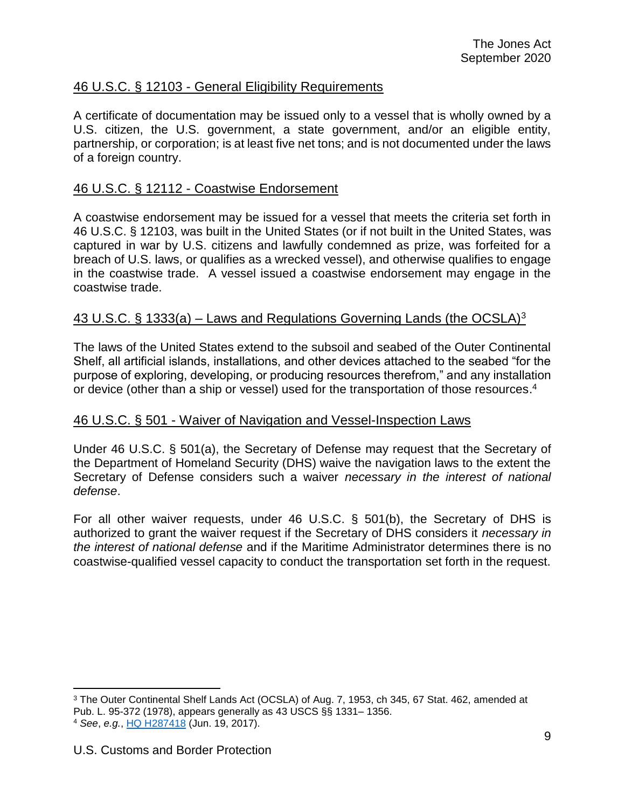# <span id="page-8-0"></span>46 U.S.C. § 12103 - General Eligibility Requirements

A certificate of documentation may be issued only to a vessel that is wholly owned by a U.S. citizen, the U.S. government, a state government, and/or an eligible entity, partnership, or corporation; is at least five net tons; and is not documented under the laws of a foreign country.

## <span id="page-8-1"></span>46 U.S.C. § 12112 - Coastwise Endorsement

A coastwise endorsement may be issued for a vessel that meets the criteria set forth in 46 U.S.C. § 12103, was built in the United States (or if not built in the United States, was captured in war by U.S. citizens and lawfully condemned as prize, was forfeited for a breach of U.S. laws, or qualifies as a wrecked vessel), and otherwise qualifies to engage in the coastwise trade. A vessel issued a coastwise endorsement may engage in the coastwise trade.

## <span id="page-8-2"></span>43 U.S.C. § 1333(a) – Laws and Regulations Governing Lands (the OCSLA)<sup>3</sup>

The laws of the United States extend to the subsoil and seabed of the Outer Continental Shelf, all artificial islands, installations, and other devices attached to the seabed "for the purpose of exploring, developing, or producing resources therefrom," and any installation or device (other than a ship or vessel) used for the transportation of those resources.<sup>4</sup>

#### <span id="page-8-3"></span>46 U.S.C. § 501 - Waiver of Navigation and Vessel-Inspection Laws

Under 46 U.S.C. § 501(a), the Secretary of Defense may request that the Secretary of the Department of Homeland Security (DHS) waive the navigation laws to the extent the Secretary of Defense considers such a waiver *necessary in the interest of national defense*.

For all other waiver requests, under 46 U.S.C. § 501(b), the Secretary of DHS is authorized to grant the waiver request if the Secretary of DHS considers it *necessary in the interest of national defense* and if the Maritime Administrator determines there is no coastwise-qualified vessel capacity to conduct the transportation set forth in the request.

<sup>3</sup> The Outer Continental Shelf Lands Act (OCSLA) of Aug. 7, 1953, ch 345, 67 Stat. 462, amended at Pub. L. 95-372 (1978), appears generally as 43 USCS §§ 1331– 1356.

<sup>4</sup> *See*, *e.g.*, [HQ H287418](https://rulings.cbp.gov/ruling/H287418) (Jun. 19, 2017).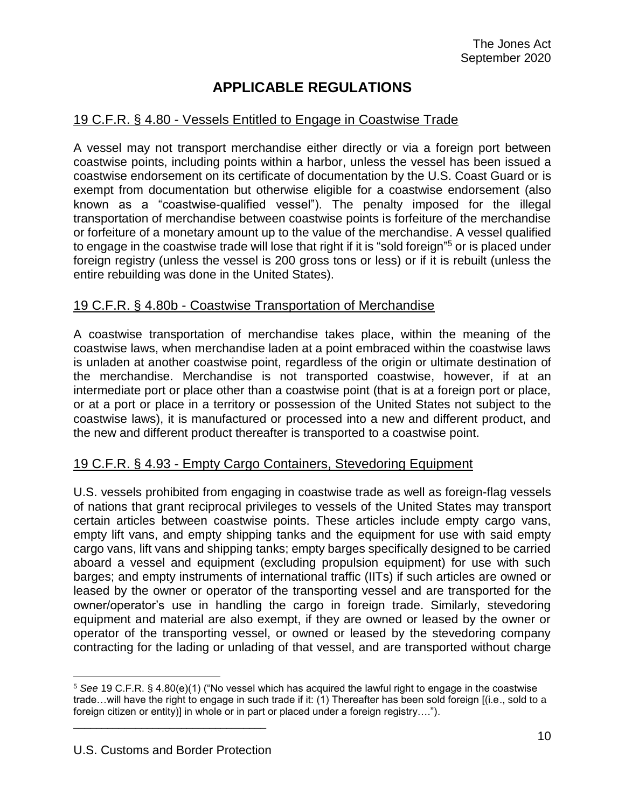# **APPLICABLE REGULATIONS**

# <span id="page-9-1"></span><span id="page-9-0"></span>19 C.F.R. § 4.80 - Vessels Entitled to Engage in Coastwise Trade

A vessel may not transport merchandise either directly or via a foreign port between coastwise points, including points within a harbor, unless the vessel has been issued a coastwise endorsement on its certificate of documentation by the U.S. Coast Guard or is exempt from documentation but otherwise eligible for a coastwise endorsement (also known as a "coastwise-qualified vessel"). The penalty imposed for the illegal transportation of merchandise between coastwise points is forfeiture of the merchandise or forfeiture of a monetary amount up to the value of the merchandise. A vessel qualified to engage in the coastwise trade will lose that right if it is "sold foreign"<sup>5</sup> or is placed under foreign registry (unless the vessel is 200 gross tons or less) or if it is rebuilt (unless the entire rebuilding was done in the United States).

## <span id="page-9-2"></span>19 C.F.R. § 4.80b - Coastwise Transportation of Merchandise

A coastwise transportation of merchandise takes place, within the meaning of the coastwise laws, when merchandise laden at a point embraced within the coastwise laws is unladen at another coastwise point, regardless of the origin or ultimate destination of the merchandise. Merchandise is not transported coastwise, however, if at an intermediate port or place other than a coastwise point (that is at a foreign port or place, or at a port or place in a territory or possession of the United States not subject to the coastwise laws), it is manufactured or processed into a new and different product, and the new and different product thereafter is transported to a coastwise point.

## <span id="page-9-3"></span>19 C.F.R. § 4.93 - Empty Cargo Containers, Stevedoring Equipment

U.S. vessels prohibited from engaging in coastwise trade as well as foreign-flag vessels of nations that grant reciprocal privileges to vessels of the United States may transport certain articles between coastwise points. These articles include empty cargo vans, empty lift vans, and empty shipping tanks and the equipment for use with said empty cargo vans, lift vans and shipping tanks; empty barges specifically designed to be carried aboard a vessel and equipment (excluding propulsion equipment) for use with such barges; and empty instruments of international traffic (IITs) if such articles are owned or leased by the owner or operator of the transporting vessel and are transported for the owner/operator's use in handling the cargo in foreign trade. Similarly, stevedoring equipment and material are also exempt, if they are owned or leased by the owner or operator of the transporting vessel, or owned or leased by the stevedoring company contracting for the lading or unlading of that vessel, and are transported without charge

<sup>5</sup> *See* 19 C.F.R. § 4.80(e)(1) ("No vessel which has acquired the lawful right to engage in the coastwise trade…will have the right to engage in such trade if it: (1) Thereafter has been sold foreign [(i.e., sold to a foreign citizen or entity)] in whole or in part or placed under a foreign registry…."). \_\_\_\_\_\_\_\_\_\_\_\_\_\_\_\_\_\_\_\_\_\_\_\_\_\_\_\_\_\_\_\_\_\_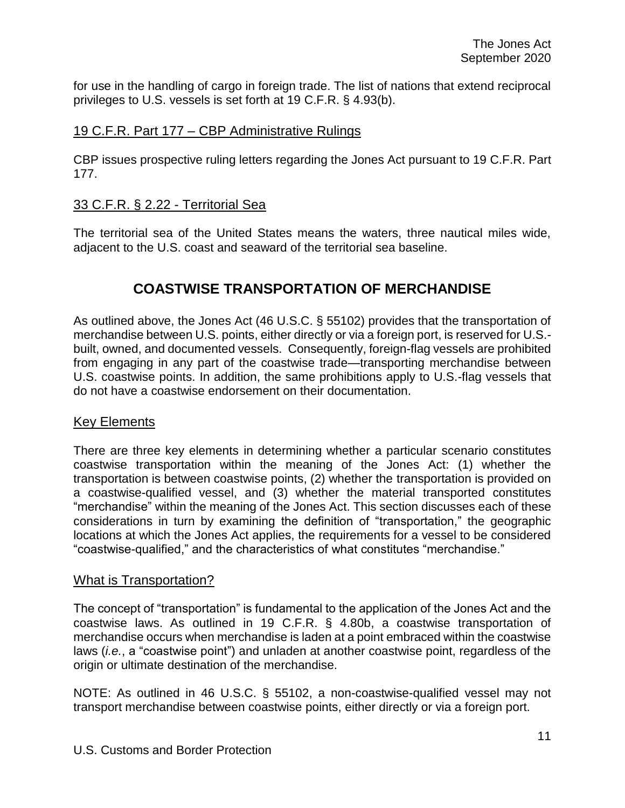for use in the handling of cargo in foreign trade. The list of nations that extend reciprocal privileges to U.S. vessels is set forth at 19 C.F.R. § 4.93(b).

## <span id="page-10-0"></span>19 C.F.R. Part 177 – CBP Administrative Rulings

CBP issues prospective ruling letters regarding the Jones Act pursuant to 19 C.F.R. Part 177.

# <span id="page-10-1"></span>33 C.F.R. § 2.22 - Territorial Sea

<span id="page-10-2"></span>The territorial sea of the United States means the waters, three nautical miles wide, adjacent to the U.S. coast and seaward of the territorial sea baseline.

# **COASTWISE TRANSPORTATION OF MERCHANDISE**

As outlined above, the Jones Act (46 U.S.C. § 55102) provides that the transportation of merchandise between U.S. points, either directly or via a foreign port, is reserved for U.S. built, owned, and documented vessels. Consequently, foreign-flag vessels are prohibited from engaging in any part of the coastwise trade—transporting merchandise between U.S. coastwise points. In addition, the same prohibitions apply to U.S.-flag vessels that do not have a coastwise endorsement on their documentation.

## <span id="page-10-3"></span>Key Elements

There are three key elements in determining whether a particular scenario constitutes coastwise transportation within the meaning of the Jones Act: (1) whether the transportation is between coastwise points, (2) whether the transportation is provided on a coastwise-qualified vessel, and (3) whether the material transported constitutes "merchandise" within the meaning of the Jones Act. This section discusses each of these considerations in turn by examining the definition of "transportation," the geographic locations at which the Jones Act applies, the requirements for a vessel to be considered "coastwise-qualified," and the characteristics of what constitutes "merchandise."

#### <span id="page-10-4"></span>What is Transportation?

The concept of "transportation" is fundamental to the application of the Jones Act and the coastwise laws. As outlined in 19 C.F.R. § 4.80b, a coastwise transportation of merchandise occurs when merchandise is laden at a point embraced within the coastwise laws (*i.e.*, a "coastwise point") and unladen at another coastwise point, regardless of the origin or ultimate destination of the merchandise.

NOTE: As outlined in 46 U.S.C. § 55102, a non-coastwise-qualified vessel may not transport merchandise between coastwise points, either directly or via a foreign port.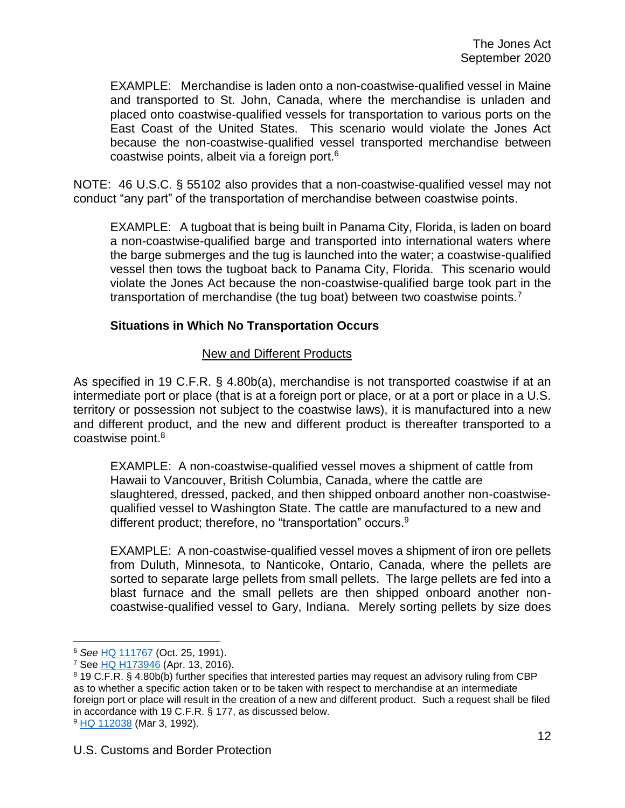EXAMPLE: Merchandise is laden onto a non-coastwise-qualified vessel in Maine and transported to St. John, Canada, where the merchandise is unladen and placed onto coastwise-qualified vessels for transportation to various ports on the East Coast of the United States. This scenario would violate the Jones Act because the non-coastwise-qualified vessel transported merchandise between coastwise points, albeit via a foreign port. 6

NOTE: 46 U.S.C. § 55102 also provides that a non-coastwise-qualified vessel may not conduct "any part" of the transportation of merchandise between coastwise points.

EXAMPLE: A tugboat that is being built in Panama City, Florida, is laden on board a non-coastwise-qualified barge and transported into international waters where the barge submerges and the tug is launched into the water; a coastwise-qualified vessel then tows the tugboat back to Panama City, Florida. This scenario would violate the Jones Act because the non-coastwise-qualified barge took part in the transportation of merchandise (the tug boat) between two coastwise points.<sup>7</sup>

### <span id="page-11-0"></span>**Situations in Which No Transportation Occurs**

#### New and Different Products

As specified in 19 C.F.R. § 4.80b(a), merchandise is not transported coastwise if at an intermediate port or place (that is at a foreign port or place, or at a port or place in a U.S. territory or possession not subject to the coastwise laws), it is manufactured into a new and different product, and the new and different product is thereafter transported to a coastwise point.<sup>8</sup>

EXAMPLE: A non-coastwise-qualified vessel moves a shipment of cattle from Hawaii to Vancouver, British Columbia, Canada, where the cattle are slaughtered, dressed, packed, and then shipped onboard another non-coastwisequalified vessel to Washington State. The cattle are manufactured to a new and different product; therefore, no "transportation" occurs.<sup>9</sup>

EXAMPLE: A non-coastwise-qualified vessel moves a shipment of iron ore pellets from Duluth, Minnesota, to Nanticoke, Ontario, Canada, where the pellets are sorted to separate large pellets from small pellets. The large pellets are fed into a blast furnace and the small pellets are then shipped onboard another noncoastwise-qualified vessel to Gary, Indiana. Merely sorting pellets by size does

<sup>6</sup> *See* [HQ 111767](https://rulings.cbp.gov/ruling/111767) (Oct. 25, 1991).

<sup>7</sup> See [HQ H173946](https://rulings.cbp.gov/ruling/H273946) (Apr. 13, 2016).

<sup>8</sup> 19 C.F.R. § 4.80b(b) further specifies that interested parties may request an advisory ruling from CBP as to whether a specific action taken or to be taken with respect to merchandise at an intermediate foreign port or place will result in the creation of a new and different product. Such a request shall be filed in accordance with 19 C.F.R. § 177, as discussed below. <sup>9</sup> [HQ 112038](https://rulings.cbp.gov/ruling/112038) (Mar 3, 1992).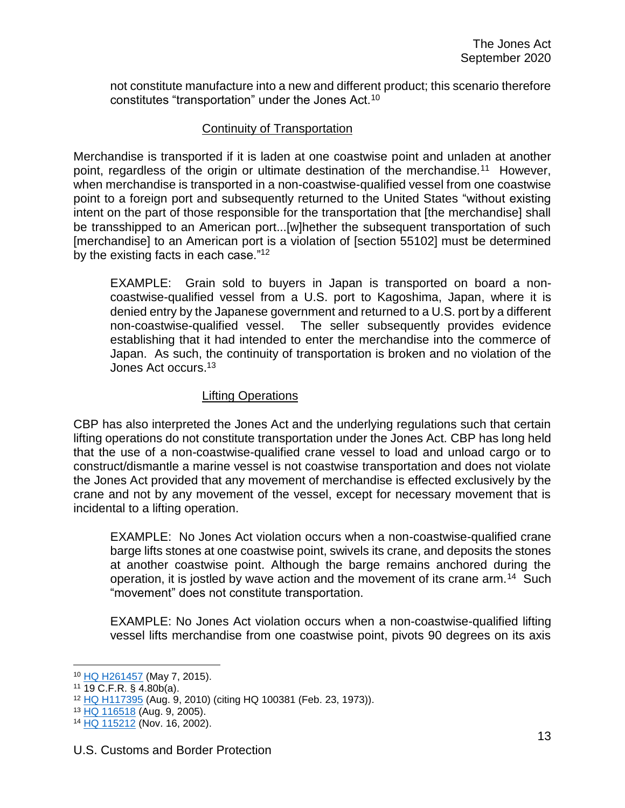not constitute manufacture into a new and different product; this scenario therefore constitutes "transportation" under the Jones Act.<sup>10</sup>

### Continuity of Transportation

Merchandise is transported if it is laden at one coastwise point and unladen at another point, regardless of the origin or ultimate destination of the merchandise.<sup>11</sup> However, when merchandise is transported in a non-coastwise-qualified vessel from one coastwise point to a foreign port and subsequently returned to the United States "without existing intent on the part of those responsible for the transportation that [the merchandise] shall be transshipped to an American port...[w]hether the subsequent transportation of such [merchandise] to an American port is a violation of [section 55102] must be determined by the existing facts in each case."<sup>12</sup>

EXAMPLE: Grain sold to buyers in Japan is transported on board a noncoastwise-qualified vessel from a U.S. port to Kagoshima, Japan, where it is denied entry by the Japanese government and returned to a U.S. port by a different non-coastwise-qualified vessel. The seller subsequently provides evidence establishing that it had intended to enter the merchandise into the commerce of Japan. As such, the continuity of transportation is broken and no violation of the Jones Act occurs. 13

### Lifting Operations

CBP has also interpreted the Jones Act and the underlying regulations such that certain lifting operations do not constitute transportation under the Jones Act. CBP has long held that the use of a non-coastwise-qualified crane vessel to load and unload cargo or to construct/dismantle a marine vessel is not coastwise transportation and does not violate the Jones Act provided that any movement of merchandise is effected exclusively by the crane and not by any movement of the vessel, except for necessary movement that is incidental to a lifting operation.

EXAMPLE: No Jones Act violation occurs when a non-coastwise-qualified crane barge lifts stones at one coastwise point, swivels its crane, and deposits the stones at another coastwise point. Although the barge remains anchored during the operation, it is jostled by wave action and the movement of its crane arm.<sup>14</sup> Such "movement" does not constitute transportation.

EXAMPLE: No Jones Act violation occurs when a non-coastwise-qualified lifting vessel lifts merchandise from one coastwise point, pivots 90 degrees on its axis

<sup>10</sup> [HQ H261457](https://rulings.cbp.gov/ruling/H261457) (May 7, 2015).

<sup>11</sup> 19 C.F.R. § 4.80b(a).

<sup>12</sup> [HQ H117395](https://rulings.cbp.gov/ruling/H117395) (Aug. 9, 2010) (citing HQ 100381 (Feb. 23, 1973)).

<sup>&</sup>lt;sup>13</sup> [HQ 116518](https://rulings.cbp.gov/ruling/116518) (Aug. 9, 2005).

<sup>14</sup> [HQ 115212](https://rulings.cbp.gov/ruling/115212) (Nov. 16, 2002).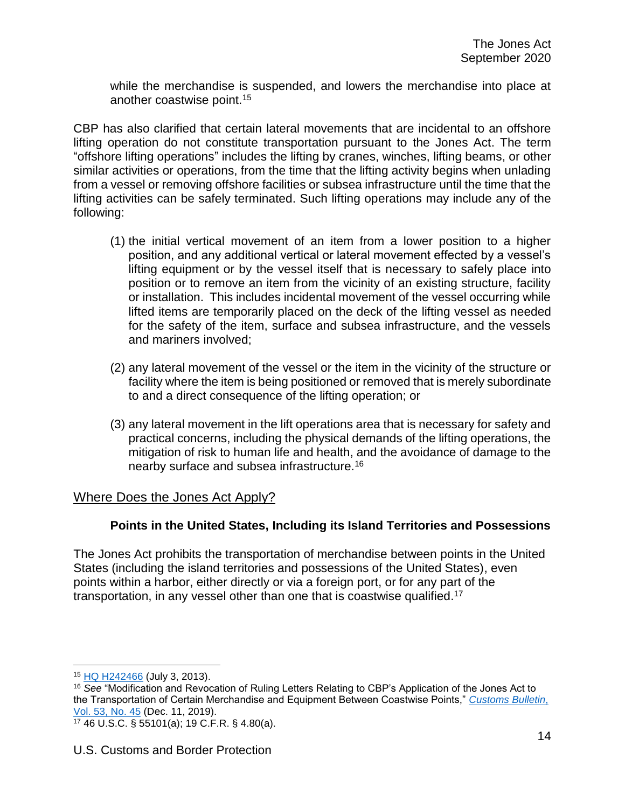while the merchandise is suspended, and lowers the merchandise into place at another coastwise point.<sup>15</sup>

CBP has also clarified that certain lateral movements that are incidental to an offshore lifting operation do not constitute transportation pursuant to the Jones Act. The term "offshore lifting operations" includes the lifting by cranes, winches, lifting beams, or other similar activities or operations, from the time that the lifting activity begins when unlading from a vessel or removing offshore facilities or subsea infrastructure until the time that the lifting activities can be safely terminated. Such lifting operations may include any of the following:

- (1) the initial vertical movement of an item from a lower position to a higher position, and any additional vertical or lateral movement effected by a vessel's lifting equipment or by the vessel itself that is necessary to safely place into position or to remove an item from the vicinity of an existing structure, facility or installation. This includes incidental movement of the vessel occurring while lifted items are temporarily placed on the deck of the lifting vessel as needed for the safety of the item, surface and subsea infrastructure, and the vessels and mariners involved;
- (2) any lateral movement of the vessel or the item in the vicinity of the structure or facility where the item is being positioned or removed that is merely subordinate to and a direct consequence of the lifting operation; or
- (3) any lateral movement in the lift operations area that is necessary for safety and practical concerns, including the physical demands of the lifting operations, the mitigation of risk to human life and health, and the avoidance of damage to the nearby surface and subsea infrastructure.<sup>16</sup>

# <span id="page-13-0"></span>Where Does the Jones Act Apply?

# **Points in the United States, Including its Island Territories and Possessions**

<span id="page-13-1"></span>The Jones Act prohibits the transportation of merchandise between points in the United States (including the island territories and possessions of the United States), even points within a harbor, either directly or via a foreign port, or for any part of the transportation, in any vessel other than one that is coastwise qualified.<sup>17</sup>

<sup>15</sup> [HQ H242466](https://rulings.cbp.gov/ruling/H242466) (July 3, 2013).

<sup>16</sup> *See* "Modification and Revocation of Ruling Letters Relating to CBP's Application of the Jones Act to the Transportation of Certain Merchandise and Equipment Between Coastwise Points," *[Customs Bulletin](https://www.cbp.gov/sites/default/files/assets/documents/2019-Dec/Vol_53_No_45_Title.pdf)*, [Vol. 53, No. 45](https://www.cbp.gov/sites/default/files/assets/documents/2019-Dec/Vol_53_No_45_Title.pdf) (Dec. 11, 2019).

<sup>17</sup> 46 U.S.C. § 55101(a); 19 C.F.R. § 4.80(a).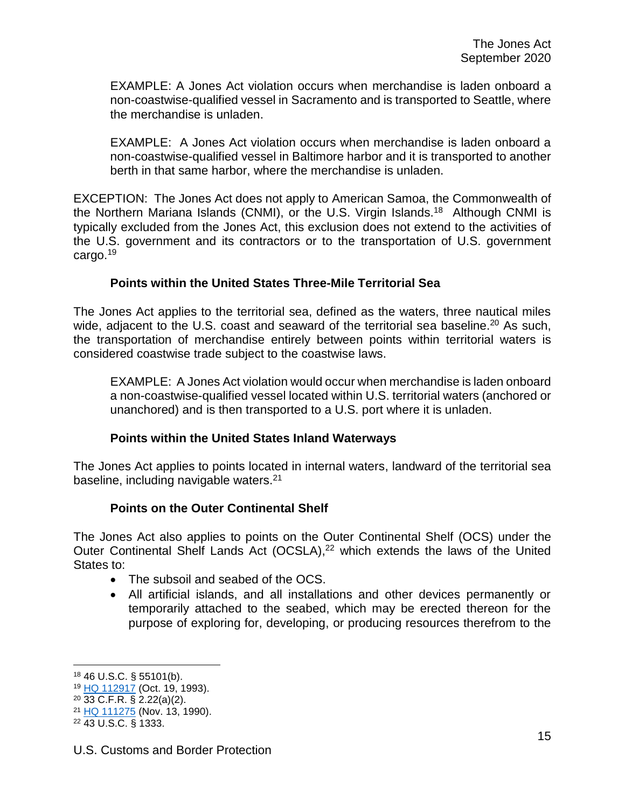EXAMPLE: A Jones Act violation occurs when merchandise is laden onboard a non-coastwise-qualified vessel in Sacramento and is transported to Seattle, where the merchandise is unladen.

EXAMPLE: A Jones Act violation occurs when merchandise is laden onboard a non-coastwise-qualified vessel in Baltimore harbor and it is transported to another berth in that same harbor, where the merchandise is unladen.

EXCEPTION: The Jones Act does not apply to American Samoa, the Commonwealth of the Northern Mariana Islands (CNMI), or the U.S. Virgin Islands.<sup>18</sup> Although CNMI is typically excluded from the Jones Act, this exclusion does not extend to the activities of the U.S. government and its contractors or to the transportation of U.S. government cargo.<sup>19</sup>

### **Points within the United States Three-Mile Territorial Sea**

<span id="page-14-0"></span>The Jones Act applies to the territorial sea, defined as the waters, three nautical miles wide, adjacent to the U.S. coast and seaward of the territorial sea baseline.<sup>20</sup> As such, the transportation of merchandise entirely between points within territorial waters is considered coastwise trade subject to the coastwise laws.

EXAMPLE: A Jones Act violation would occur when merchandise is laden onboard a non-coastwise-qualified vessel located within U.S. territorial waters (anchored or unanchored) and is then transported to a U.S. port where it is unladen.

## **Points within the United States Inland Waterways**

<span id="page-14-1"></span>The Jones Act applies to points located in internal waters, landward of the territorial sea baseline, including navigable waters.<sup>21</sup>

#### **Points on the Outer Continental Shelf**

<span id="page-14-2"></span>The Jones Act also applies to points on the Outer Continental Shelf (OCS) under the Outer Continental Shelf Lands Act (OCSLA),<sup>22</sup> which extends the laws of the United States to:

- The subsoil and seabed of the OCS.
- All artificial islands, and all installations and other devices permanently or temporarily attached to the seabed, which may be erected thereon for the purpose of exploring for, developing, or producing resources therefrom to the

<sup>18</sup> 46 U.S.C. § 55101(b).

<sup>19</sup> [HQ 112917](https://rulings.cbp.gov/ruling/112917) (Oct. 19, 1993).

<sup>20</sup> 33 C.F.R. § 2.22(a)(2).

<sup>&</sup>lt;sup>21</sup> [HQ 111275](https://rulings.cbp.gov/ruling/111275) (Nov. 13, 1990).

<sup>22</sup> 43 U.S.C. § 1333.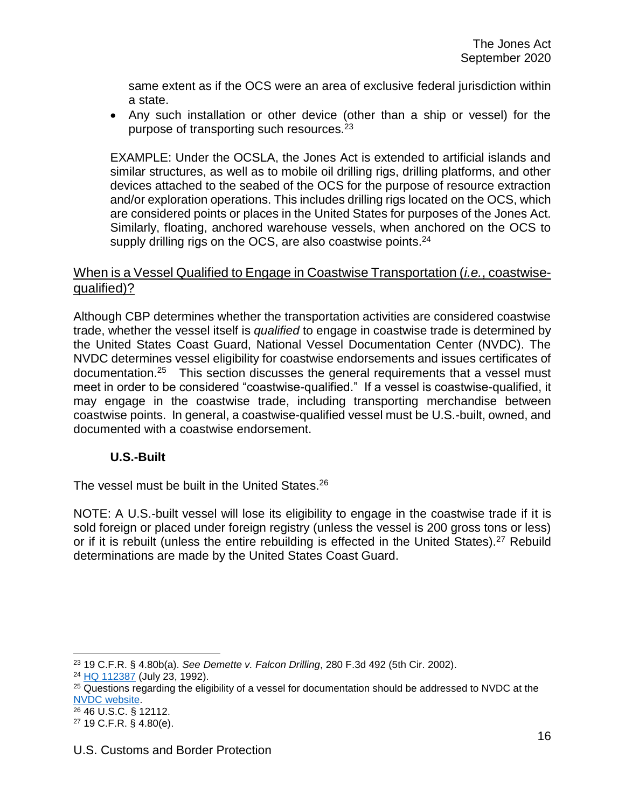same extent as if the OCS were an area of exclusive federal jurisdiction within a state.

 Any such installation or other device (other than a ship or vessel) for the purpose of transporting such resources.<sup>23</sup>

EXAMPLE: Under the OCSLA, the Jones Act is extended to artificial islands and similar structures, as well as to mobile oil drilling rigs, drilling platforms, and other devices attached to the seabed of the OCS for the purpose of resource extraction and/or exploration operations. This includes drilling rigs located on the OCS, which are considered points or places in the United States for purposes of the Jones Act. Similarly, floating, anchored warehouse vessels, when anchored on the OCS to supply drilling rigs on the OCS, are also coastwise points.<sup>24</sup>

# <span id="page-15-0"></span>When is a Vessel Qualified to Engage in Coastwise Transportation (*i.e.*, coastwisequalified)?

Although CBP determines whether the transportation activities are considered coastwise trade, whether the vessel itself is *qualified* to engage in coastwise trade is determined by the United States Coast Guard, National Vessel Documentation Center (NVDC). The NVDC determines vessel eligibility for coastwise endorsements and issues certificates of documentation.<sup>25</sup> This section discusses the general requirements that a vessel must meet in order to be considered "coastwise-qualified." If a vessel is coastwise-qualified, it may engage in the coastwise trade, including transporting merchandise between coastwise points. In general, a coastwise-qualified vessel must be U.S.-built, owned, and documented with a coastwise endorsement.

## **U.S.-Built**

<span id="page-15-1"></span>The vessel must be built in the United States.<sup>26</sup>

NOTE: A U.S.-built vessel will lose its eligibility to engage in the coastwise trade if it is sold foreign or placed under foreign registry (unless the vessel is 200 gross tons or less) or if it is rebuilt (unless the entire rebuilding is effected in the United States).<sup>27</sup> Rebuild determinations are made by the United States Coast Guard.

 $\overline{a}$ <sup>23</sup> 19 C.F.R. § 4.80b(a). *See Demette v. Falcon Drilling*, 280 F.3d 492 (5th Cir. 2002).

<sup>24</sup> [HQ 112387](https://rulings.cbp.gov/ruling/112387) (July 23, 1992).

<sup>&</sup>lt;sup>25</sup> Questions regarding the eligibility of a vessel for documentation should be addressed to NVDC at the [NVDC website.](https://www.dco.uscg.mil/Our-Organization/Deputy-for-Operations-Policy-and-Capabilities-DCO-D/National-Vessel-Documentation-Center/)

<sup>26</sup> 46 U.S.C. § 12112.

<sup>27</sup> 19 C.F.R. § 4.80(e).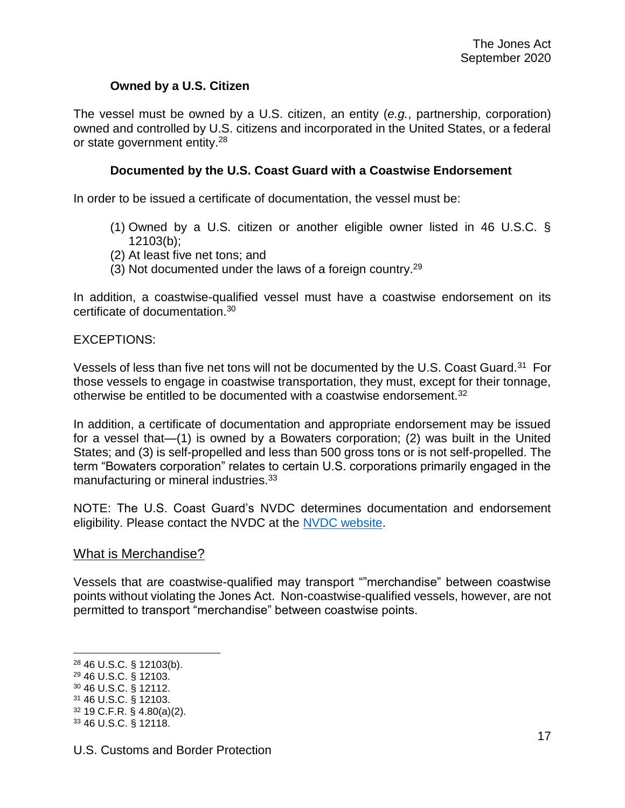## **Owned by a U.S. Citizen**

<span id="page-16-0"></span>The vessel must be owned by a U.S. citizen, an entity (*e.g.*, partnership, corporation) owned and controlled by U.S. citizens and incorporated in the United States, or a federal or state government entity.<sup>28</sup>

### **Documented by the U.S. Coast Guard with a Coastwise Endorsement**

<span id="page-16-1"></span>In order to be issued a certificate of documentation, the vessel must be:

- (1) Owned by a U.S. citizen or another eligible owner listed in 46 U.S.C. § 12103(b);
- (2) At least five net tons; and
- (3) Not documented under the laws of a foreign country.<sup>29</sup>

In addition, a coastwise-qualified vessel must have a coastwise endorsement on its certificate of documentation.<sup>30</sup>

#### EXCEPTIONS:

Vessels of less than five net tons will not be documented by the U.S. Coast Guard.<sup>31</sup> For those vessels to engage in coastwise transportation, they must, except for their tonnage, otherwise be entitled to be documented with a coastwise endorsement.<sup>32</sup>

In addition, a certificate of documentation and appropriate endorsement may be issued for a vessel that—(1) is owned by a Bowaters corporation; (2) was built in the United States; and (3) is self-propelled and less than 500 gross tons or is not self-propelled. The term "Bowaters corporation" relates to certain U.S. corporations primarily engaged in the manufacturing or mineral industries.<sup>33</sup>

NOTE: The U.S. Coast Guard's NVDC determines documentation and endorsement eligibility. Please contact the NVDC at the [NVDC website.](https://www.dco.uscg.mil/Our-Organization/Deputy-for-Operations-Policy-and-Capabilities-DCO-D/National-Vessel-Documentation-Center/)

#### <span id="page-16-2"></span>What is Merchandise?

Vessels that are coastwise-qualified may transport ""merchandise" between coastwise points without violating the Jones Act. Non-coastwise-qualified vessels, however, are not permitted to transport "merchandise" between coastwise points.

<sup>29</sup> 46 U.S.C. § 12103.

<sup>28</sup> 46 U.S.C. § 12103(b).

<sup>30</sup> 46 U.S.C. § 12112.

<sup>31</sup> 46 U.S.C. § 12103.

<sup>32</sup> 19 C.F.R. § 4.80(a)(2).

<sup>33</sup> 46 U.S.C. § 12118.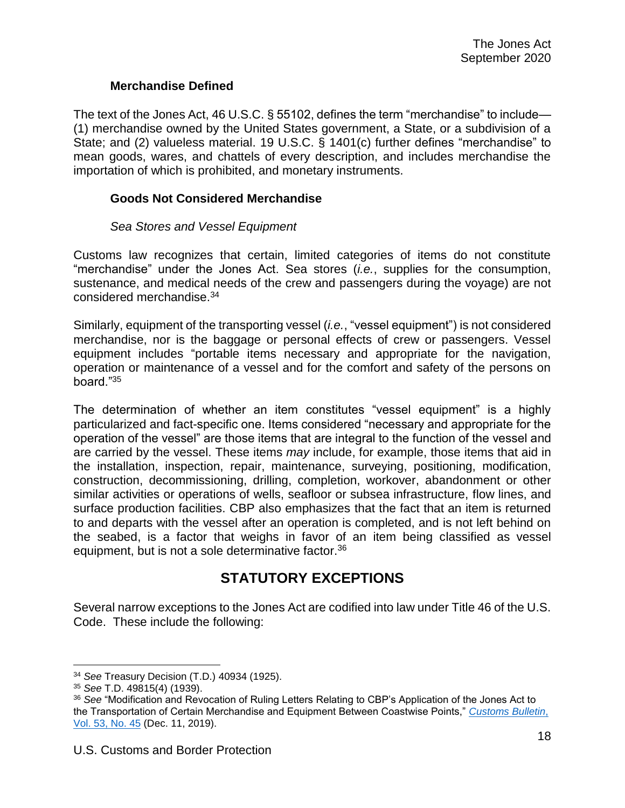### **Merchandise Defined**

<span id="page-17-0"></span>The text of the Jones Act, 46 U.S.C. § 55102, defines the term "merchandise" to include— (1) merchandise owned by the United States government, a State, or a subdivision of a State; and (2) valueless material. 19 U.S.C. § 1401(c) further defines "merchandise" to mean goods, wares, and chattels of every description, and includes merchandise the importation of which is prohibited, and monetary instruments.

#### <span id="page-17-1"></span>**Goods Not Considered Merchandise**

#### *Sea Stores and Vessel Equipment*

Customs law recognizes that certain, limited categories of items do not constitute "merchandise" under the Jones Act. Sea stores (*i.e.*, supplies for the consumption, sustenance, and medical needs of the crew and passengers during the voyage) are not considered merchandise.<sup>34</sup>

Similarly, equipment of the transporting vessel (*i.e.*, "vessel equipment") is not considered merchandise, nor is the baggage or personal effects of crew or passengers. Vessel equipment includes "portable items necessary and appropriate for the navigation, operation or maintenance of a vessel and for the comfort and safety of the persons on board."<sup>35</sup>

The determination of whether an item constitutes "vessel equipment" is a highly particularized and fact-specific one. Items considered "necessary and appropriate for the operation of the vessel" are those items that are integral to the function of the vessel and are carried by the vessel. These items *may* include, for example, those items that aid in the installation, inspection, repair, maintenance, surveying, positioning, modification, construction, decommissioning, drilling, completion, workover, abandonment or other similar activities or operations of wells, seafloor or subsea infrastructure, flow lines, and surface production facilities. CBP also emphasizes that the fact that an item is returned to and departs with the vessel after an operation is completed, and is not left behind on the seabed, is a factor that weighs in favor of an item being classified as vessel equipment, but is not a sole determinative factor.<sup>36</sup>

# **STATUTORY EXCEPTIONS**

<span id="page-17-2"></span>Several narrow exceptions to the Jones Act are codified into law under Title 46 of the U.S. Code. These include the following:

<sup>34</sup> *See* Treasury Decision (T.D.) 40934 (1925).

<sup>35</sup> *See* T.D. 49815(4) (1939).

<sup>36</sup> *See* "Modification and Revocation of Ruling Letters Relating to CBP's Application of the Jones Act to the Transportation of Certain Merchandise and Equipment Between Coastwise Points," *[Customs Bulletin](https://www.cbp.gov/sites/default/files/assets/documents/2019-Dec/Vol_53_No_45_Title.pdf)*, [Vol. 53, No. 45](https://www.cbp.gov/sites/default/files/assets/documents/2019-Dec/Vol_53_No_45_Title.pdf) (Dec. 11, 2019).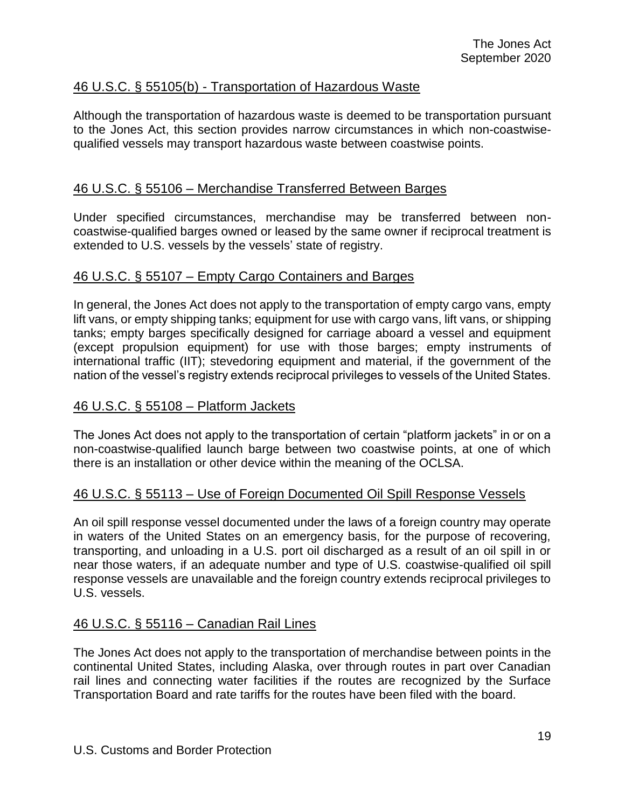# <span id="page-18-0"></span>46 U.S.C. § 55105(b) - Transportation of Hazardous Waste

Although the transportation of hazardous waste is deemed to be transportation pursuant to the Jones Act, this section provides narrow circumstances in which non-coastwisequalified vessels may transport hazardous waste between coastwise points.

## <span id="page-18-1"></span>46 U.S.C. § 55106 – Merchandise Transferred Between Barges

Under specified circumstances, merchandise may be transferred between noncoastwise-qualified barges owned or leased by the same owner if reciprocal treatment is extended to U.S. vessels by the vessels' state of registry.

### <span id="page-18-2"></span>46 U.S.C. § 55107 – Empty Cargo Containers and Barges

In general, the Jones Act does not apply to the transportation of empty cargo vans, empty lift vans, or empty shipping tanks; equipment for use with cargo vans, lift vans, or shipping tanks; empty barges specifically designed for carriage aboard a vessel and equipment (except propulsion equipment) for use with those barges; empty instruments of international traffic (IIT); stevedoring equipment and material, if the government of the nation of the vessel's registry extends reciprocal privileges to vessels of the United States.

### <span id="page-18-3"></span>46 U.S.C. § 55108 – Platform Jackets

The Jones Act does not apply to the transportation of certain "platform jackets" in or on a non-coastwise-qualified launch barge between two coastwise points, at one of which there is an installation or other device within the meaning of the OCLSA.

## <span id="page-18-4"></span>46 U.S.C. § 55113 – Use of Foreign Documented Oil Spill Response Vessels

An oil spill response vessel documented under the laws of a foreign country may operate in waters of the United States on an emergency basis, for the purpose of recovering, transporting, and unloading in a U.S. port oil discharged as a result of an oil spill in or near those waters, if an adequate number and type of U.S. coastwise-qualified oil spill response vessels are unavailable and the foreign country extends reciprocal privileges to U.S. vessels.

## <span id="page-18-5"></span>46 U.S.C. § 55116 – Canadian Rail Lines

The Jones Act does not apply to the transportation of merchandise between points in the continental United States, including Alaska, over through routes in part over Canadian rail lines and connecting water facilities if the routes are recognized by the Surface Transportation Board and rate tariffs for the routes have been filed with the board.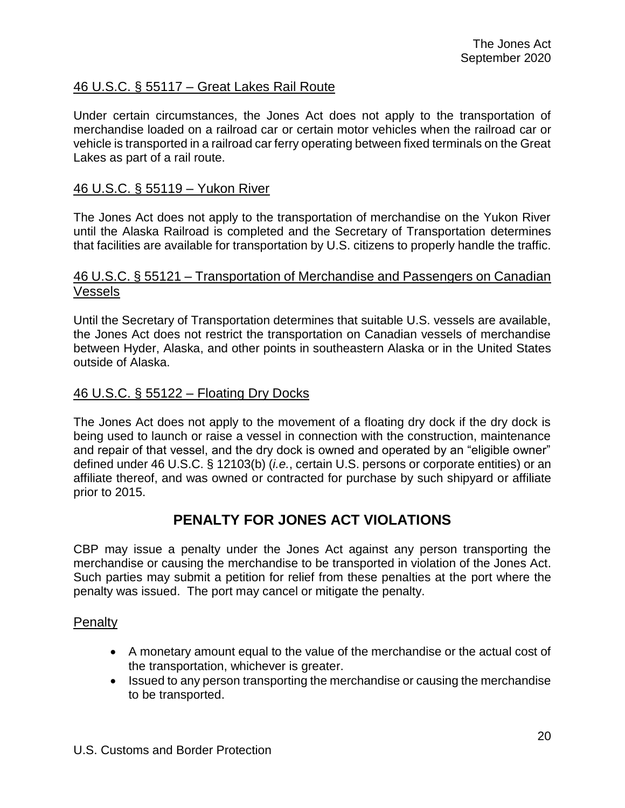# <span id="page-19-0"></span>46 U.S.C. § 55117 – Great Lakes Rail Route

Under certain circumstances, the Jones Act does not apply to the transportation of merchandise loaded on a railroad car or certain motor vehicles when the railroad car or vehicle is transported in a railroad car ferry operating between fixed terminals on the Great Lakes as part of a rail route.

### <span id="page-19-1"></span>46 U.S.C. § 55119 – Yukon River

The Jones Act does not apply to the transportation of merchandise on the Yukon River until the Alaska Railroad is completed and the Secretary of Transportation determines that facilities are available for transportation by U.S. citizens to properly handle the traffic.

### <span id="page-19-2"></span>46 U.S.C. § 55121 – Transportation of Merchandise and Passengers on Canadian Vessels

Until the Secretary of Transportation determines that suitable U.S. vessels are available, the Jones Act does not restrict the transportation on Canadian vessels of merchandise between Hyder, Alaska, and other points in southeastern Alaska or in the United States outside of Alaska.

### <span id="page-19-3"></span>46 U.S.C. § 55122 – Floating Dry Docks

The Jones Act does not apply to the movement of a floating dry dock if the dry dock is being used to launch or raise a vessel in connection with the construction, maintenance and repair of that vessel, and the dry dock is owned and operated by an "eligible owner" defined under 46 U.S.C. § 12103(b) (*i.e.*, certain U.S. persons or corporate entities) or an affiliate thereof, and was owned or contracted for purchase by such shipyard or affiliate prior to 2015.

# **PENALTY FOR JONES ACT VIOLATIONS**

<span id="page-19-4"></span>CBP may issue a penalty under the Jones Act against any person transporting the merchandise or causing the merchandise to be transported in violation of the Jones Act. Such parties may submit a petition for relief from these penalties at the port where the penalty was issued. The port may cancel or mitigate the penalty.

#### <span id="page-19-5"></span>**Penalty**

- A monetary amount equal to the value of the merchandise or the actual cost of the transportation, whichever is greater.
- Issued to any person transporting the merchandise or causing the merchandise to be transported.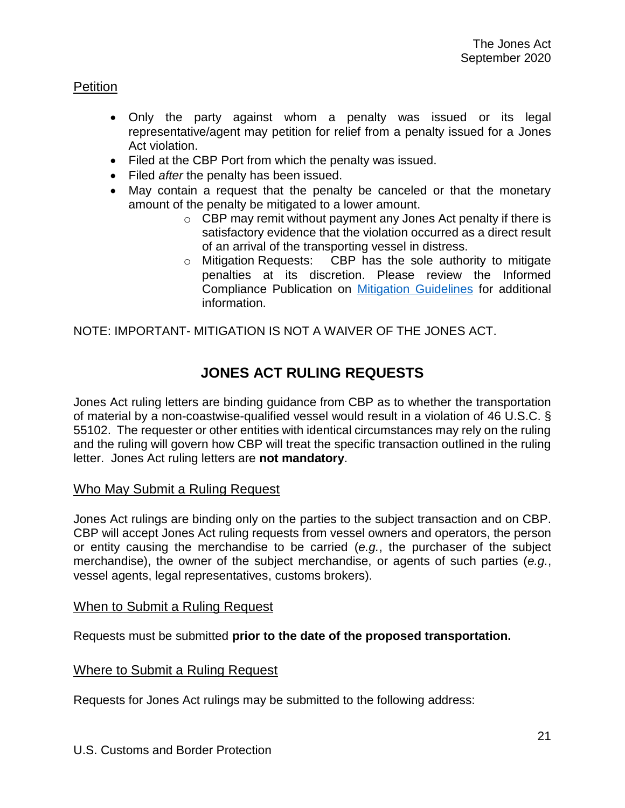## <span id="page-20-0"></span>**Petition**

- Only the party against whom a penalty was issued or its legal representative/agent may petition for relief from a penalty issued for a Jones Act violation.
- Filed at the CBP Port from which the penalty was issued.
- Filed *after* the penalty has been issued.
- May contain a request that the penalty be canceled or that the monetary amount of the penalty be mitigated to a lower amount.
	- o CBP may remit without payment any Jones Act penalty if there is satisfactory evidence that the violation occurred as a direct result of an arrival of the transporting vessel in distress.
	- o Mitigation Requests: CBP has the sole authority to mitigate penalties at its discretion. Please review the Informed Compliance Publication on [Mitigation Guidelines](https://www.cbp.gov/trade/publications/informed-compliance-publication-mitigation-guidelines-fines-penalties-forfeitures-and) for additional information.

<span id="page-20-1"></span>NOTE: IMPORTANT- MITIGATION IS NOT A WAIVER OF THE JONES ACT.

# **JONES ACT RULING REQUESTS**

Jones Act ruling letters are binding guidance from CBP as to whether the transportation of material by a non-coastwise-qualified vessel would result in a violation of 46 U.S.C. § 55102. The requester or other entities with identical circumstances may rely on the ruling and the ruling will govern how CBP will treat the specific transaction outlined in the ruling letter. Jones Act ruling letters are **not mandatory**.

#### <span id="page-20-2"></span>Who May Submit a Ruling Request

Jones Act rulings are binding only on the parties to the subject transaction and on CBP. CBP will accept Jones Act ruling requests from vessel owners and operators, the person or entity causing the merchandise to be carried (*e.g.*, the purchaser of the subject merchandise), the owner of the subject merchandise, or agents of such parties (*e.g.*, vessel agents, legal representatives, customs brokers).

#### <span id="page-20-3"></span>When to Submit a Ruling Request

Requests must be submitted **prior to the date of the proposed transportation.**

#### <span id="page-20-4"></span>Where to Submit a Ruling Request

Requests for Jones Act rulings may be submitted to the following address: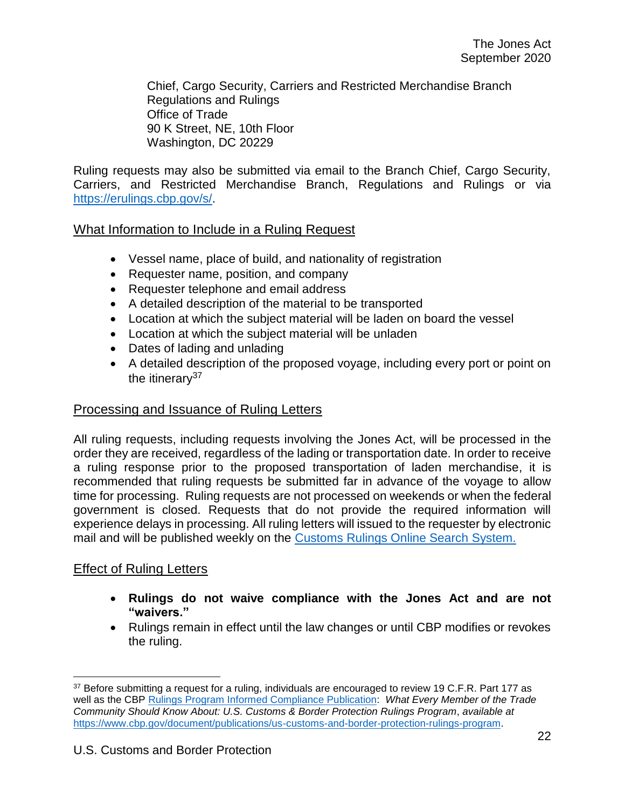Chief, Cargo Security, Carriers and Restricted Merchandise Branch Regulations and Rulings Office of Trade 90 K Street, NE, 10th Floor Washington, DC 20229

Ruling requests may also be submitted via email to the Branch Chief, Cargo Security, Carriers, and Restricted Merchandise Branch, Regulations and Rulings or via [https://erulings.cbp.gov/s/.](https://erulings.cbp.gov/s/)

## <span id="page-21-0"></span>What Information to Include in a Ruling Request

- Vessel name, place of build, and nationality of registration
- Requester name, position, and company
- Requester telephone and email address
- A detailed description of the material to be transported
- Location at which the subject material will be laden on board the vessel
- Location at which the subject material will be unladen
- Dates of lading and unlading
- A detailed description of the proposed voyage, including every port or point on the itinerary $37$

### <span id="page-21-1"></span>Processing and Issuance of Ruling Letters

All ruling requests, including requests involving the Jones Act, will be processed in the order they are received, regardless of the lading or transportation date. In order to receive a ruling response prior to the proposed transportation of laden merchandise, it is recommended that ruling requests be submitted far in advance of the voyage to allow time for processing. Ruling requests are not processed on weekends or when the federal government is closed. Requests that do not provide the required information will experience delays in processing. All ruling letters will issued to the requester by electronic mail and will be published weekly on the [Customs Rulings Online Search System.](https://rulings.cbp.gov/home)

## <span id="page-21-2"></span>Effect of Ruling Letters

- **Rulings do not waive compliance with the Jones Act and are not "waivers."**
- Rulings remain in effect until the law changes or until CBP modifies or revokes the ruling.

<sup>37</sup> Before submitting a request for a ruling, individuals are encouraged to review 19 C.F.R. Part 177 as well as the CBP [Rulings Program Informed Compliance Publication:](https://www.cbp.gov/document/publications/us-customs-and-border-protection-rulings-program) *What Every Member of the Trade Community Should Know About: U.S. Customs & Border Protection Rulings Program*, *available at* [https://www.cbp.gov/document/publications/us-customs-and-border-protection-rulings-program.](https://www.cbp.gov/document/publications/us-customs-and-border-protection-rulings-program)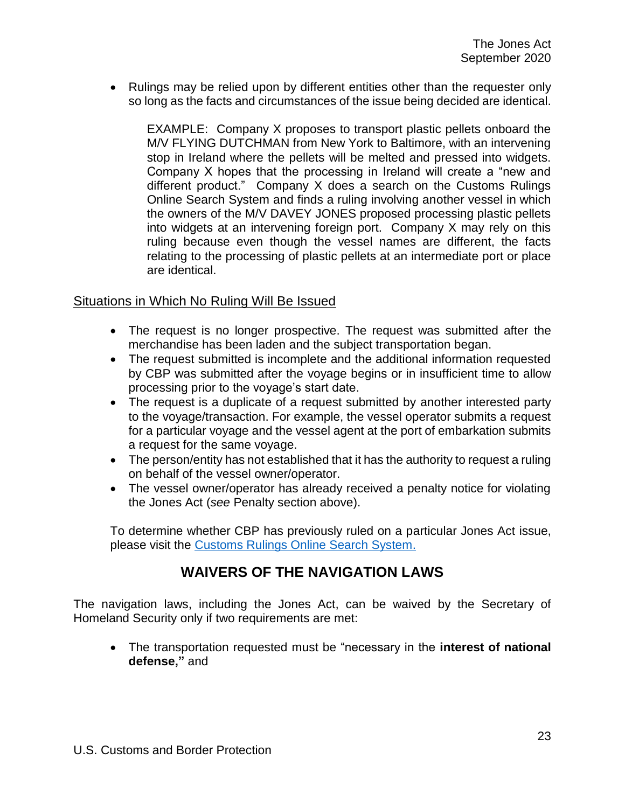Rulings may be relied upon by different entities other than the requester only so long as the facts and circumstances of the issue being decided are identical.

EXAMPLE: Company X proposes to transport plastic pellets onboard the M/V FLYING DUTCHMAN from New York to Baltimore, with an intervening stop in Ireland where the pellets will be melted and pressed into widgets. Company X hopes that the processing in Ireland will create a "new and different product." Company X does a search on the Customs Rulings Online Search System and finds a ruling involving another vessel in which the owners of the M/V DAVEY JONES proposed processing plastic pellets into widgets at an intervening foreign port. Company X may rely on this ruling because even though the vessel names are different, the facts relating to the processing of plastic pellets at an intermediate port or place are identical.

### <span id="page-22-0"></span>Situations in Which No Ruling Will Be Issued

- The request is no longer prospective. The request was submitted after the merchandise has been laden and the subject transportation began.
- The request submitted is incomplete and the additional information requested by CBP was submitted after the voyage begins or in insufficient time to allow processing prior to the voyage's start date.
- The request is a duplicate of a request submitted by another interested party to the voyage/transaction. For example, the vessel operator submits a request for a particular voyage and the vessel agent at the port of embarkation submits a request for the same voyage.
- The person/entity has not established that it has the authority to request a ruling on behalf of the vessel owner/operator.
- The vessel owner/operator has already received a penalty notice for violating the Jones Act (*see* Penalty section above).

To determine whether CBP has previously ruled on a particular Jones Act issue, please visit the [Customs Rulings Online Search System.](https://rulings.cbp.gov/home)

# **WAIVERS OF THE NAVIGATION LAWS**

<span id="page-22-1"></span>The navigation laws, including the Jones Act, can be waived by the Secretary of Homeland Security only if two requirements are met:

 The transportation requested must be "necessary in the **interest of national defense,"** and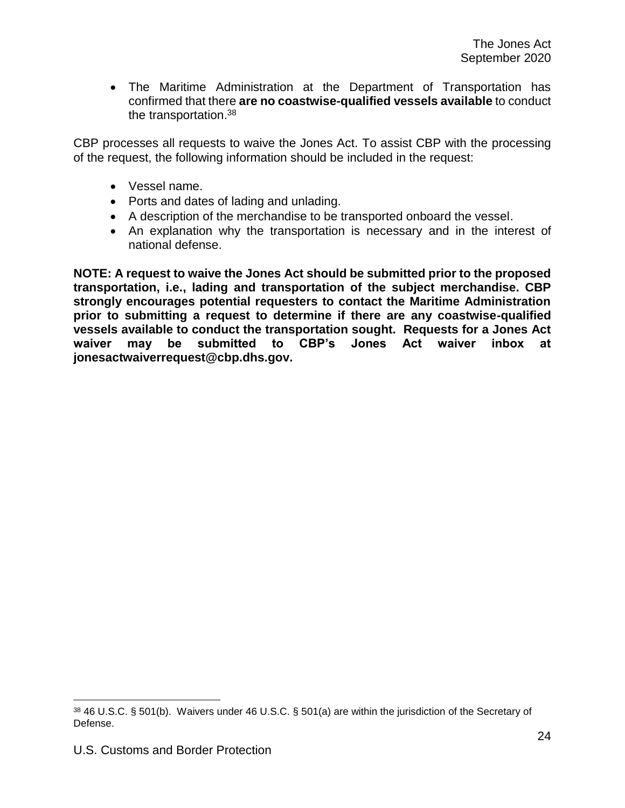The Maritime Administration at the Department of Transportation has confirmed that there **are no coastwise-qualified vessels available** to conduct the transportation.<sup>38</sup>

CBP processes all requests to waive the Jones Act. To assist CBP with the processing of the request, the following information should be included in the request:

- Vessel name.
- Ports and dates of lading and unlading.
- A description of the merchandise to be transported onboard the vessel.
- An explanation why the transportation is necessary and in the interest of national defense.

**NOTE: A request to waive the Jones Act should be submitted prior to the proposed transportation, i.e., lading and transportation of the subject merchandise. CBP strongly encourages potential requesters to contact the Maritime Administration prior to submitting a request to determine if there are any coastwise-qualified vessels available to conduct the transportation sought. Requests for a Jones Act waiver may be submitted to CBP's Jones Act waiver inbox at [jonesactwaiverrequest@cbp.dhs.gov.](mailto:jonesactwaiverrequest@cbp.dhs.gov)** 

<sup>38</sup> 46 U.S.C. § 501(b). Waivers under 46 U.S.C. § 501(a) are within the jurisdiction of the Secretary of Defense.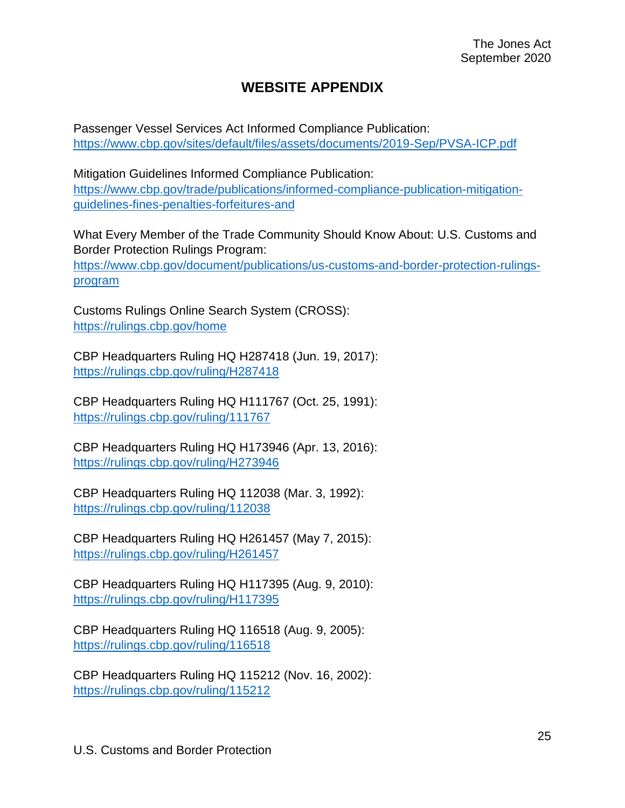# **WEBSITE APPENDIX**

<span id="page-24-0"></span>Passenger Vessel Services Act Informed Compliance Publication: <https://www.cbp.gov/sites/default/files/assets/documents/2019-Sep/PVSA-ICP.pdf>

Mitigation Guidelines Informed Compliance Publication: [https://www.cbp.gov/trade/publications/informed-compliance-publication-mitigation](https://www.cbp.gov/trade/publications/informed-compliance-publication-mitigation-guidelines-fines-penalties-forfeitures-and)[guidelines-fines-penalties-forfeitures-and](https://www.cbp.gov/trade/publications/informed-compliance-publication-mitigation-guidelines-fines-penalties-forfeitures-and)

What Every Member of the Trade Community Should Know About: U.S. Customs and Border Protection Rulings Program: [https://www.cbp.gov/document/publications/us-customs-and-border-protection-rulings](https://www.cbp.gov/document/publications/us-customs-and-border-protection-rulings-program)[program](https://www.cbp.gov/document/publications/us-customs-and-border-protection-rulings-program)

Customs Rulings Online Search System (CROSS): <https://rulings.cbp.gov/home>

CBP Headquarters Ruling HQ H287418 (Jun. 19, 2017): <https://rulings.cbp.gov/ruling/H287418>

CBP Headquarters Ruling HQ H111767 (Oct. 25, 1991): <https://rulings.cbp.gov/ruling/111767>

CBP Headquarters Ruling HQ H173946 (Apr. 13, 2016): <https://rulings.cbp.gov/ruling/H273946>

CBP Headquarters Ruling HQ 112038 (Mar. 3, 1992): <https://rulings.cbp.gov/ruling/112038>

CBP Headquarters Ruling HQ H261457 (May 7, 2015): <https://rulings.cbp.gov/ruling/H261457>

CBP Headquarters Ruling HQ H117395 (Aug. 9, 2010): <https://rulings.cbp.gov/ruling/H117395>

CBP Headquarters Ruling HQ 116518 (Aug. 9, 2005): <https://rulings.cbp.gov/ruling/116518>

CBP Headquarters Ruling HQ 115212 (Nov. 16, 2002): <https://rulings.cbp.gov/ruling/115212>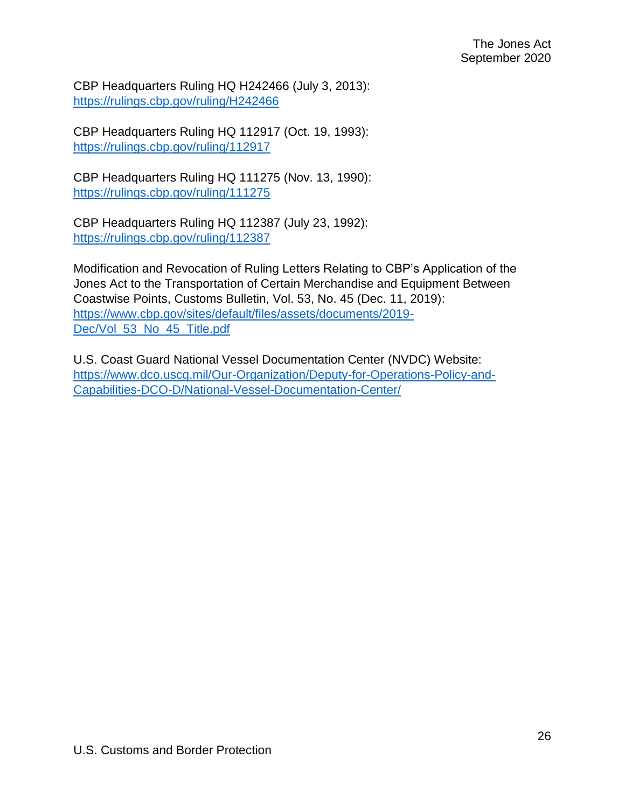CBP Headquarters Ruling HQ H242466 (July 3, 2013): <https://rulings.cbp.gov/ruling/H242466>

CBP Headquarters Ruling HQ 112917 (Oct. 19, 1993): <https://rulings.cbp.gov/ruling/112917>

CBP Headquarters Ruling HQ 111275 (Nov. 13, 1990): <https://rulings.cbp.gov/ruling/111275>

CBP Headquarters Ruling HQ 112387 (July 23, 1992): <https://rulings.cbp.gov/ruling/112387>

Modification and Revocation of Ruling Letters Relating to CBP's Application of the Jones Act to the Transportation of Certain Merchandise and Equipment Between Coastwise Points, Customs Bulletin, Vol. 53, No. 45 (Dec. 11, 2019): [https://www.cbp.gov/sites/default/files/assets/documents/2019-](https://www.cbp.gov/sites/default/files/assets/documents/2019-Dec/Vol_53_No_45_Title.pdf) [Dec/Vol\\_53\\_No\\_45\\_Title.pdf](https://www.cbp.gov/sites/default/files/assets/documents/2019-Dec/Vol_53_No_45_Title.pdf)

U.S. Coast Guard National Vessel Documentation Center (NVDC) Website: [https://www.dco.uscg.mil/Our-Organization/Deputy-for-Operations-Policy-and-](https://www.dco.uscg.mil/Our-Organization/Deputy-for-Operations-Policy-and-Capabilities-DCO-D/National-Vessel-Documentation-Center/)[Capabilities-DCO-D/National-Vessel-Documentation-Center/](https://www.dco.uscg.mil/Our-Organization/Deputy-for-Operations-Policy-and-Capabilities-DCO-D/National-Vessel-Documentation-Center/)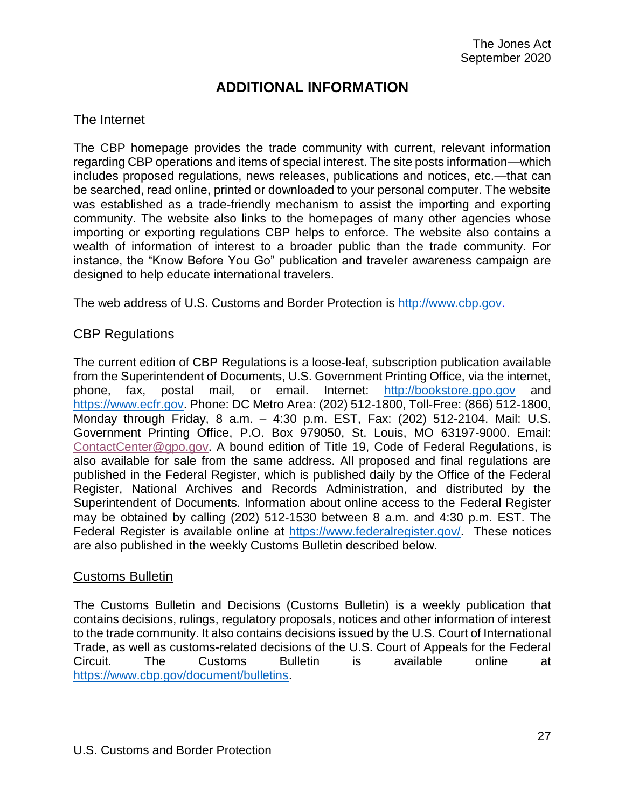# **ADDITIONAL INFORMATION**

## <span id="page-26-1"></span><span id="page-26-0"></span>The Internet

The CBP homepage provides the trade community with current, relevant information regarding CBP operations and items of special interest. The site posts information—which includes proposed regulations, news releases, publications and notices, etc.—that can be searched, read online, printed or downloaded to your personal computer. The website was established as a trade-friendly mechanism to assist the importing and exporting community. The website also links to the homepages of many other agencies whose importing or exporting regulations CBP helps to enforce. The website also contains a wealth of information of interest to a broader public than the trade community. For instance, the "Know Before You Go" publication and traveler awareness campaign are designed to help educate international travelers.

The web address of U.S. Customs and Border Protection is [http://www.cbp.gov.](http://www.cbp.gov/)

#### <span id="page-26-2"></span>CBP Regulations

The current edition of CBP Regulations is a loose-leaf, subscription publication available from the Superintendent of Documents, U.S. Government Printing Office, via the internet, phone, fax, postal mail, or email. Internet: [http://bookstore.gpo.gov](http://bookstore.gpo.gov/) and [https://www.ecfr.gov.](https://www.ecfr.gov/) Phone: DC Metro Area: (202) 512-1800, Toll-Free: (866) 512-1800, Monday through Friday, 8 a.m. – 4:30 p.m. EST, Fax: (202) 512-2104. Mail: U.S. Government Printing Office, P.O. Box 979050, St. Louis, MO 63197-9000. Email: [ContactCenter@gpo.gov.](mailto:ContactCenter@gpo.gov) A bound edition of Title 19, Code of Federal Regulations, is also available for sale from the same address. All proposed and final regulations are published in the Federal Register, which is published daily by the Office of the Federal Register, National Archives and Records Administration, and distributed by the Superintendent of Documents. Information about online access to the Federal Register may be obtained by calling (202) 512-1530 between 8 a.m. and 4:30 p.m. EST. The Federal Register is available online at [https://www.federalregister.gov/.](https://www.federalregister.gov/) These notices are also published in the weekly Customs Bulletin described below.

#### <span id="page-26-3"></span>Customs Bulletin

The Customs Bulletin and Decisions (Customs Bulletin) is a weekly publication that contains decisions, rulings, regulatory proposals, notices and other information of interest to the trade community. It also contains decisions issued by the U.S. Court of International Trade, as well as customs-related decisions of the U.S. Court of Appeals for the Federal Circuit. The Customs Bulletin is available online at [https://www.cbp.gov/document/bulletins.](https://www.cbp.gov/document/bulletins)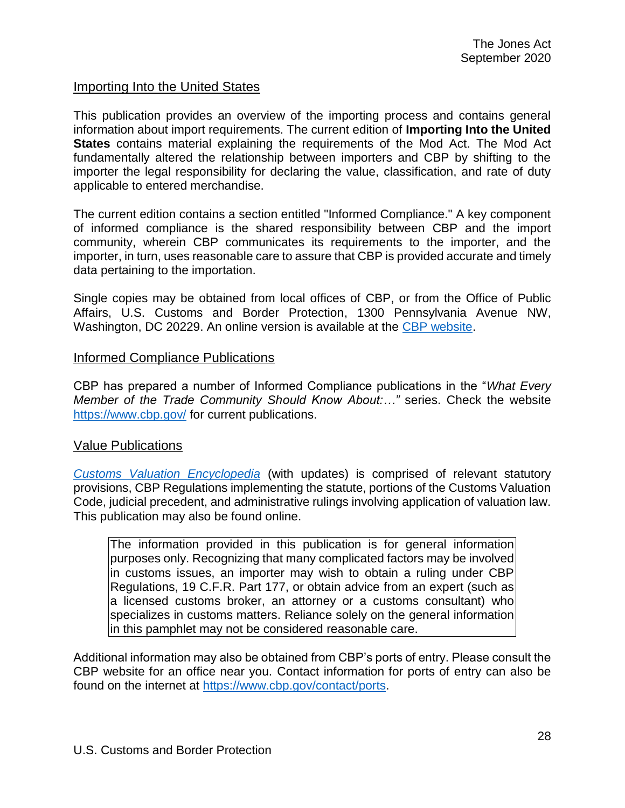### <span id="page-27-0"></span>Importing Into the United States

This publication provides an overview of the importing process and contains general information about import requirements. The current edition of **Importing Into the United States** contains material explaining the requirements of the Mod Act. The Mod Act fundamentally altered the relationship between importers and CBP by shifting to the importer the legal responsibility for declaring the value, classification, and rate of duty applicable to entered merchandise.

The current edition contains a section entitled "Informed Compliance." A key component of informed compliance is the shared responsibility between CBP and the import community, wherein CBP communicates its requirements to the importer, and the importer, in turn, uses reasonable care to assure that CBP is provided accurate and timely data pertaining to the importation.

Single copies may be obtained from local offices of CBP, or from the Office of Public Affairs, U.S. Customs and Border Protection, 1300 Pennsylvania Avenue NW, Washington, DC 20229. An online version is available at the [CBP website.](http://www.cbp.gov/)

#### <span id="page-27-1"></span>Informed Compliance Publications

CBP has prepared a number of Informed Compliance publications in the "*What Every Member of the Trade Community Should Know About:…"* series. Check the website <https://www.cbp.gov/> for current publications.

#### <span id="page-27-2"></span>Value Publications

*[Customs Valuation](https://www.cbp.gov/sites/default/files/assets/documents/2016-Jul/Valuation%20Encyclopedia%20Dec%202015%20final.pdf) Encyclopedia* (with updates) is comprised of relevant statutory provisions, CBP Regulations implementing the statute, portions of the Customs Valuation Code, judicial precedent, and administrative rulings involving application of valuation law. This publication may also be found online.

The information provided in this publication is for general information purposes only. Recognizing that many complicated factors may be involved in customs issues, an importer may wish to obtain a ruling under CBP Regulations, 19 C.F.R. Part 177, or obtain advice from an expert (such as a licensed customs broker, an attorney or a customs consultant) who specializes in customs matters. Reliance solely on the general information in this pamphlet may not be considered reasonable care.

Additional information may also be obtained from CBP's ports of entry. Please consult the CBP website for an office near you. Contact information for ports of entry can also be found on the internet at [https://www.cbp.gov/contact/ports.](https://www.cbp.gov/contact/ports)